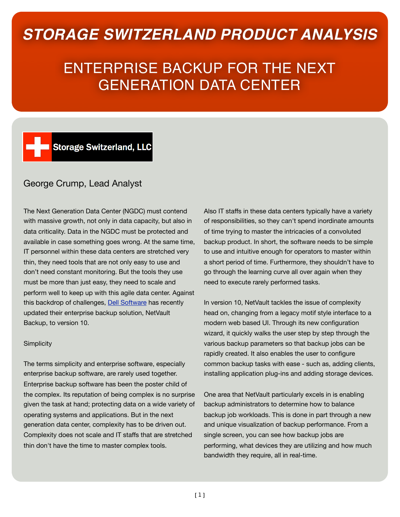## *STORAGE SWITZERLAND PRODUCT ANALYSIS*

# ENTERPRISE BACKUP FOR THE NEXT GENERATION DATA CENTER

### Storage Switzerland, LLC

### George Crump, Lead Analyst

The Next Generation Data Center (NGDC) must contend with massive growth, not only in data capacity, but also in data criticality. Data in the NGDC must be protected and available in case something goes wrong. At the same time, IT personnel within these data centers are stretched very thin, they need tools that are not only easy to use and don't need constant monitoring. But the tools they use must be more than just easy, they need to scale and perform well to keep up with this agile data center. Against this backdrop of challenges, [Dell Software](http://software.dell.com) has recently updated their enterprise backup solution, NetVault Backup, to version 10.

#### **Simplicity**

The terms simplicity and enterprise software, especially enterprise backup software, are rarely used together. Enterprise backup software has been the poster child of the complex. Its reputation of being complex is no surprise given the task at hand; protecting data on a wide variety of operating systems and applications. But in the next generation data center, complexity has to be driven out. Complexity does not scale and IT staffs that are stretched thin don't have the time to master complex tools.

Also IT staffs in these data centers typically have a variety of responsibilities, so they can't spend inordinate amounts of time trying to master the intricacies of a convoluted backup product. In short, the software needs to be simple to use and intuitive enough for operators to master within a short period of time. Furthermore, they shouldn't have to go through the learning curve all over again when they need to execute rarely performed tasks.

In version 10, NetVault tackles the issue of complexity head on, changing from a legacy motif style interface to a modern web based UI. Through its new configuration wizard, it quickly walks the user step by step through the various backup parameters so that backup jobs can be rapidly created. It also enables the user to configure common backup tasks with ease - such as, adding clients, installing application plug-ins and adding storage devices.

One area that NetVault particularly excels in is enabling backup administrators to determine how to balance backup job workloads. This is done in part through a new and unique visualization of backup performance. From a single screen, you can see how backup jobs are performing, what devices they are utilizing and how much bandwidth they require, all in real-time.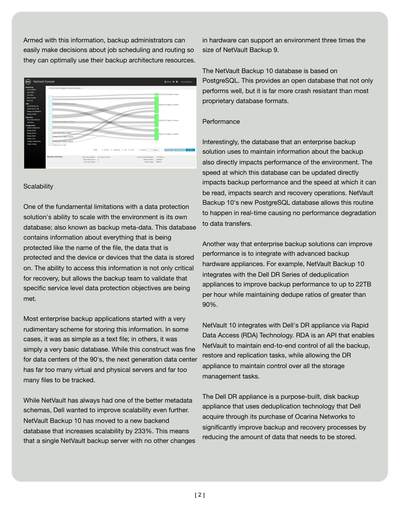Armed with this information, backup administrators can easily make decisions about job scheduling and routing so they can optimally use their backup architecture resources.



#### **Scalability**

One of the fundamental limitations with a data protection solution's ability to scale with the environment is its own database; also known as backup meta-data. This database contains information about everything that is being protected like the name of the file, the data that is protected and the device or devices that the data is stored on. The ability to access this information is not only critical for recovery, but allows the backup team to validate that specific service level data protection objectives are being met.

Most enterprise backup applications started with a very rudimentary scheme for storing this information. In some cases, it was as simple as a text file; in others, it was simply a very basic database. While this construct was fine for data centers of the 90's, the next generation data center has far too many virtual and physical servers and far too many files to be tracked.

While NetVault has always had one of the better metadata schemas, Dell wanted to improve scalability even further. NetVault Backup 10 has moved to a new backend database that increases scalability by 233%. This means that a single NetVault backup server with no other changes in hardware can support an environment three times the size of NetVault Backup 9.

The NetVault Backup 10 database is based on PostgreSQL. This provides an open database that not only performs well, but it is far more crash resistant than most proprietary database formats.

#### **Performance**

Interestingly, the database that an enterprise backup solution uses to maintain information about the backup also directly impacts performance of the environment. The speed at which this database can be updated directly impacts backup performance and the speed at which it can be read, impacts search and recovery operations. NetVault Backup 10's new PostgreSQL database allows this routine to happen in real-time causing no performance degradation to data transfers.

Another way that enterprise backup solutions can improve performance is to integrate with advanced backup hardware appliances. For example, NetVault Backup 10 integrates with the Dell DR Series of deduplication appliances to improve backup performance to up to 22TB per hour while maintaining dedupe ratios of greater than 90%.

NetVault 10 integrates with Dell's DR appliance via Rapid Data Access (RDA) Technology. RDA is an API that enables NetVault to maintain end-to-end control of all the backup, restore and replication tasks, while allowing the DR appliance to maintain control over all the storage management tasks.

The Dell DR appliance is a purpose-built, disk backup appliance that uses deduplication technology that Dell acquire through its purchase of Ocarina Networks to significantly improve backup and recovery processes by reducing the amount of data that needs to be stored.